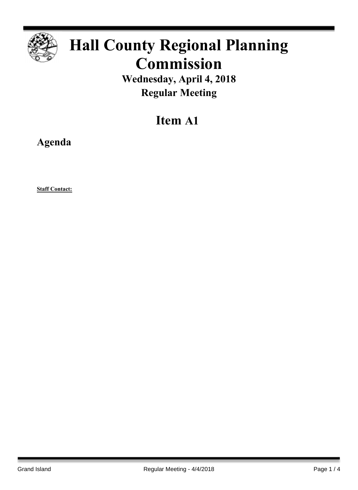

## **Hall County Regional Planning Commission**

**Wednesday, April 4, 2018 Regular Meeting**

## **Item A1**

**Agenda**

**Staff Contact:**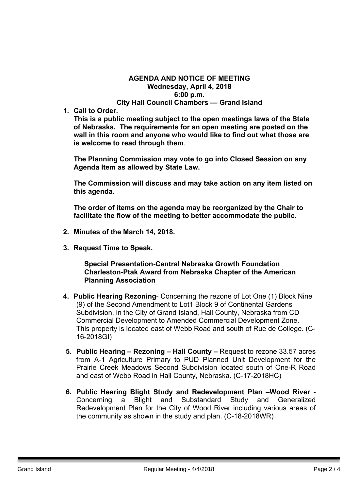## **AGENDA AND NOTICE OF MEETING Wednesday, April 4, 2018 6:00 p.m. City Hall Council Chambers — Grand Island**

**1. Call to Order.**

**This is a public meeting subject to the open meetings laws of the State of Nebraska. The requirements for an open meeting are posted on the wall in this room and anyone who would like to find out what those are is welcome to read through them**.

**The Planning Commission may vote to go into Closed Session on any Agenda Item as allowed by State Law.**

**The Commission will discuss and may take action on any item listed on this agenda.**

**The order of items on the agenda may be reorganized by the Chair to facilitate the flow of the meeting to better accommodate the public.**

- **2. Minutes of the March 14, 2018.**
- **3. Request Time to Speak.**

**Special Presentation-Central Nebraska Growth Foundation Charleston-Ptak Award from Nebraska Chapter of the American Planning Association**

- **4. Public Hearing Rezoning** Concerning the rezone of Lot One (1) Block Nine (9) of the Second Amendment to Lot1 Block 9 of Continental Gardens Subdivision, in the City of Grand Island, Hall County, Nebraska from CD Commercial Development to Amended Commercial Development Zone. This property is located east of Webb Road and south of Rue de College. (C-16-2018GI)
- **5. Public Hearing – Rezoning – Hall County –** Request to rezone 33.57 acres from A-1 Agriculture Primary to PUD Planned Unit Development for the Prairie Creek Meadows Second Subdivision located south of One-R Road and east of Webb Road in Hall County, Nebraska. (C-17-2018HC)
- **6. Public Hearing Blight Study and Redevelopment Plan –Wood River -** Concerning a Blight and Substandard Study and Generalized Redevelopment Plan for the City of Wood River including various areas of the community as shown in the study and plan. (C-18-2018WR)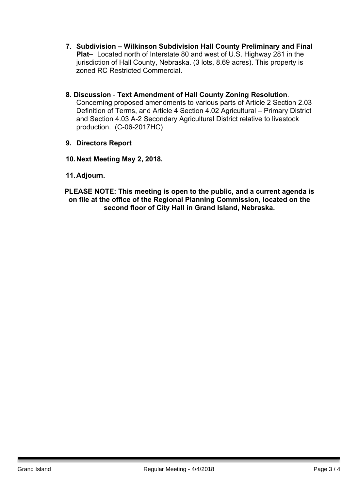- **7. Subdivision – Wilkinson Subdivision Hall County Preliminary and Final Plat–** Located north of Interstate 80 and west of U.S. Highway 281 in the jurisdiction of Hall County, Nebraska. (3 lots, 8.69 acres). This property is zoned RC Restricted Commercial.
- **8. Discussion Text Amendment of Hall County Zoning Resolution**. Concerning proposed amendments to various parts of Article 2 Section 2.03 Definition of Terms, and Article 4 Section 4.02 Agricultural – Primary District and Section 4.03 A-2 Secondary Agricultural District relative to livestock production. (C-06-2017HC)
- **9. Directors Report**
- **10.Next Meeting May 2, 2018.**
- **11.Adjourn.**

**PLEASE NOTE: This meeting is open to the public, and a current agenda is on file at the office of the Regional Planning Commission, located on the second floor of City Hall in Grand Island, Nebraska.**